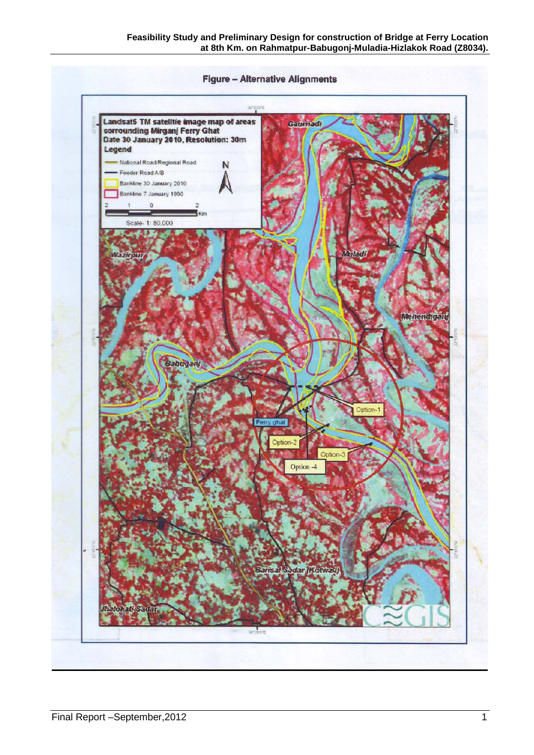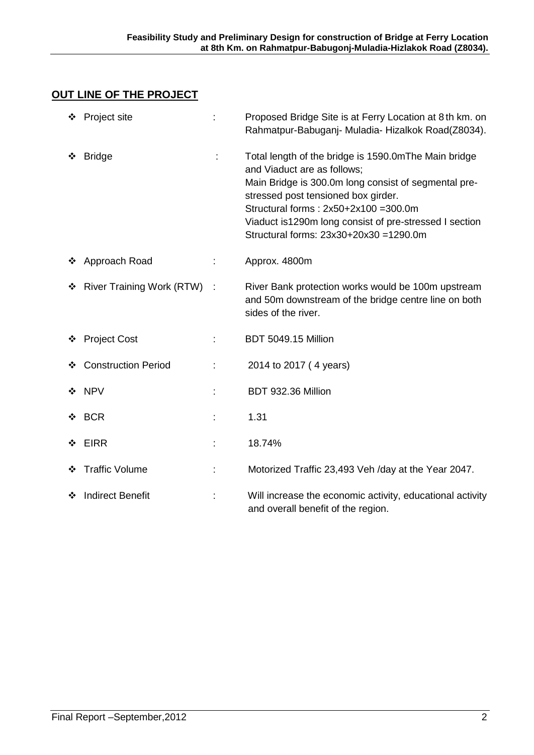## **OUT LINE OF THE PROJECT**

|   | ❖ Project site              |   | Proposed Bridge Site is at Ferry Location at 8th km. on<br>Rahmatpur-Babuganj- Muladia- Hizalkok Road(Z8034).                                                                                                                                                                                                                   |
|---|-----------------------------|---|---------------------------------------------------------------------------------------------------------------------------------------------------------------------------------------------------------------------------------------------------------------------------------------------------------------------------------|
|   | <b>Bridge</b>               |   | Total length of the bridge is 1590.0mThe Main bridge<br>and Viaduct are as follows;<br>Main Bridge is 300.0m long consist of segmental pre-<br>stressed post tensioned box girder.<br>Structural forms: 2x50+2x100 =300.0m<br>Viaduct is 1290m long consist of pre-stressed I section<br>Structural forms: 23x30+20x30 =1290.0m |
|   | ❖ Approach Road             | ÷ | Approx. 4800m                                                                                                                                                                                                                                                                                                                   |
|   | ❖ River Training Work (RTW) |   | River Bank protection works would be 100m upstream<br>and 50m downstream of the bridge centre line on both<br>sides of the river.                                                                                                                                                                                               |
| ❖ | <b>Project Cost</b>         | ÷ | <b>BDT 5049.15 Million</b>                                                                                                                                                                                                                                                                                                      |
|   | <b>Construction Period</b>  | ÷ | 2014 to 2017 (4 years)                                                                                                                                                                                                                                                                                                          |
|   | ❖ NPV                       |   | BDT 932.36 Million                                                                                                                                                                                                                                                                                                              |
|   | $\div$ BCR                  |   | 1.31                                                                                                                                                                                                                                                                                                                            |
| ❖ | <b>EIRR</b>                 |   | 18.74%                                                                                                                                                                                                                                                                                                                          |
|   | ❖ Traffic Volume            |   | Motorized Traffic 23,493 Veh /day at the Year 2047.                                                                                                                                                                                                                                                                             |
| ❖ | <b>Indirect Benefit</b>     |   | Will increase the economic activity, educational activity<br>and overall benefit of the region.                                                                                                                                                                                                                                 |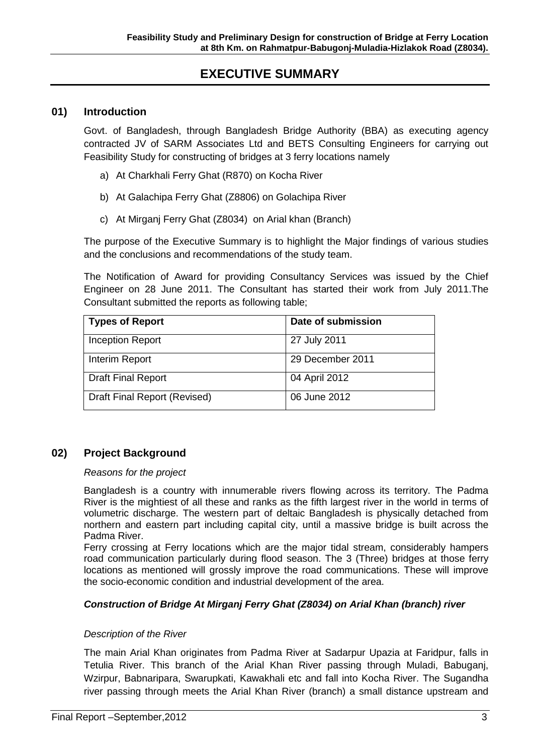# **EXECUTIVE SUMMARY**

#### **01) Introduction**

Govt. of Bangladesh, through Bangladesh Bridge Authority (BBA) as executing agency contracted JV of SARM Associates Ltd and BETS Consulting Engineers for carrying out Feasibility Study for constructing of bridges at 3 ferry locations namely

- a) At Charkhali Ferry Ghat (R870) on Kocha River
- b) At Galachipa Ferry Ghat (Z8806) on Golachipa River
- c) At Mirganj Ferry Ghat (Z8034) on Arial khan (Branch)

The purpose of the Executive Summary is to highlight the Major findings of various studies and the conclusions and recommendations of the study team.

The Notification of Award for providing Consultancy Services was issued by the Chief Engineer on 28 June 2011. The Consultant has started their work from July 2011.The Consultant submitted the reports as following table;

| <b>Types of Report</b>       | Date of submission |
|------------------------------|--------------------|
| <b>Inception Report</b>      | 27 July 2011       |
| Interim Report               | 29 December 2011   |
| <b>Draft Final Report</b>    | 04 April 2012      |
| Draft Final Report (Revised) | 06 June 2012       |

#### **02) Project Background**

#### *Reasons for the project*

Bangladesh is a country with innumerable rivers flowing across its territory. The Padma River is the mightiest of all these and ranks as the fifth largest river in the world in terms of volumetric discharge. The western part of deltaic Bangladesh is physically detached from northern and eastern part including capital city, until a massive bridge is built across the Padma River.

Ferry crossing at Ferry locations which are the major tidal stream, considerably hampers road communication particularly during flood season. The 3 (Three) bridges at those ferry locations as mentioned will grossly improve the road communications. These will improve the socio-economic condition and industrial development of the area.

#### *Construction of Bridge At Mirganj Ferry Ghat (Z8034) on Arial Khan (branch) river*

#### *Description of the River*

The main Arial Khan originates from Padma River at Sadarpur Upazia at Faridpur, falls in Tetulia River. This branch of the Arial Khan River passing through Muladi, Babuganj, Wzirpur, Babnaripara, Swarupkati, Kawakhali etc and fall into Kocha River. The Sugandha river passing through meets the Arial Khan River (branch) a small distance upstream and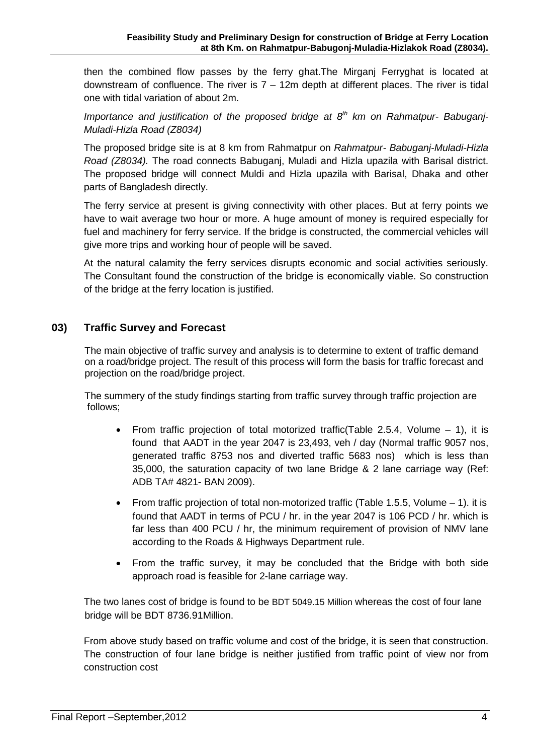then the combined flow passes by the ferry ghat.The Mirganj Ferryghat is located at downstream of confluence. The river is  $7 - 12m$  depth at different places. The river is tidal one with tidal variation of about 2m.

*Importance and justification of the proposed bridge at 8th km on Rahmatpur- Babuganj-Muladi-Hizla Road (Z8034)*

The proposed bridge site is at 8 km from Rahmatpur on *Rahmatpur- Babuganj-Muladi-Hizla Road (Z8034).* The road connects Babuganj, Muladi and Hizla upazila with Barisal district. The proposed bridge will connect Muldi and Hizla upazila with Barisal, Dhaka and other parts of Bangladesh directly.

The ferry service at present is giving connectivity with other places. But at ferry points we have to wait average two hour or more. A huge amount of money is required especially for fuel and machinery for ferry service. If the bridge is constructed, the commercial vehicles will give more trips and working hour of people will be saved.

At the natural calamity the ferry services disrupts economic and social activities seriously. The Consultant found the construction of the bridge is economically viable. So construction of the bridge at the ferry location is justified.

## **03) Traffic Survey and Forecast**

 The main objective of traffic survey and analysis is to determine to extent of traffic demand on a road/bridge project. The result of this process will form the basis for traffic forecast and projection on the road/bridge project.

 The summery of the study findings starting from traffic survey through traffic projection are follows;

- From traffic projection of total motorized traffic (Table 2.5.4, Volume  $-1$ ), it is found that AADT in the year 2047 is 23,493, veh / day (Normal traffic 9057 nos, generated traffic 8753 nos and diverted traffic 5683 nos) which is less than 35,000, the saturation capacity of two lane Bridge & 2 lane carriage way (Ref: ADB TA# 4821- BAN 2009).
- From traffic projection of total non-motorized traffic (Table 1.5.5, Volume  $-1$ ). it is found that AADT in terms of PCU / hr. in the year 2047 is 106 PCD / hr. which is far less than 400 PCU / hr, the minimum requirement of provision of NMV lane according to the Roads & Highways Department rule.
- From the traffic survey, it may be concluded that the Bridge with both side approach road is feasible for 2-lane carriage way.

The two lanes cost of bridge is found to be BDT 5049.15 Million whereas the cost of four lane bridge will be BDT 8736.91Million.

From above study based on traffic volume and cost of the bridge, it is seen that construction. The construction of four lane bridge is neither justified from traffic point of view nor from construction cost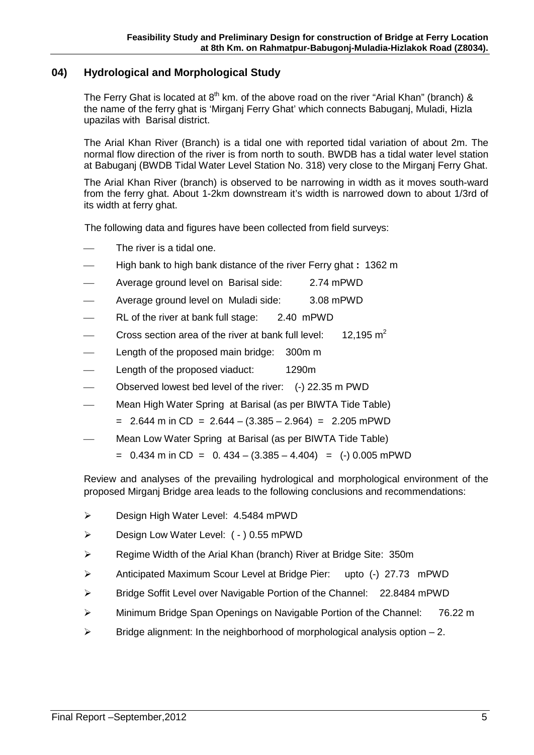## **04) Hydrological and Morphological Study**

The Ferry Ghat is located at  $8<sup>th</sup>$  km, of the above road on the river "Arial Khan" (branch) & the name of the ferry ghat is 'Mirganj Ferry Ghat' which connects Babuganj, Muladi, Hizla upazilas with Barisal district.

The Arial Khan River (Branch) is a tidal one with reported tidal variation of about 2m. The normal flow direction of the river is from north to south. BWDB has a tidal water level station at Babuganj (BWDB Tidal Water Level Station No. 318) very close to the Mirganj Ferry Ghat.

The Arial Khan River (branch) is observed to be narrowing in width as it moves south-ward from the ferry ghat. About 1-2km downstream it's width is narrowed down to about 1/3rd of its width at ferry ghat.

The following data and figures have been collected from field surveys:

- The river is a tidal one.
- High bank to high bank distance of the river Ferry ghat **:** 1362 m
- Average ground level on Barisal side: 2.74 mPWD
- Average ground level on Muladi side: 3.08 mPWD
- RL of the river at bank full stage: 2.40 mPWD
- Cross section area of the river at bank full level: 12.195  $m^2$
- Length of the proposed main bridge: 300m m
- Length of the proposed viaduct: 1290m
- Observed lowest bed level of the river: (-) 22.35 m PWD
- Mean High Water Spring at Barisal (as per BIWTA Tide Table)
	- $= 2.644$  m in CD = 2.644 (3.385 2.964) = 2.205 mPWD
- Mean Low Water Spring at Barisal (as per BIWTA Tide Table)
	- $= 0.434$  m in CD  $= 0.434 (3.385 4.404) = (-) 0.005$  mPWD

Review and analyses of the prevailing hydrological and morphological environment of the proposed Mirganj Bridge area leads to the following conclusions and recommendations:

- **EXECUTE: 2.5484 mPWD**
- Design Low Water Level: ( ) 0.55 mPWD
- ▶ Regime Width of the Arial Khan (branch) River at Bridge Site: 350m
- Anticipated Maximum Scour Level at Bridge Pier: upto (-) 27.73 mPWD
- Bridge Soffit Level over Navigable Portion of the Channel: 22.8484 mPWD
- ▶ Minimum Bridge Span Openings on Navigable Portion of the Channel: 76.22 m
- $\triangleright$  Bridge alignment: In the neighborhood of morphological analysis option 2.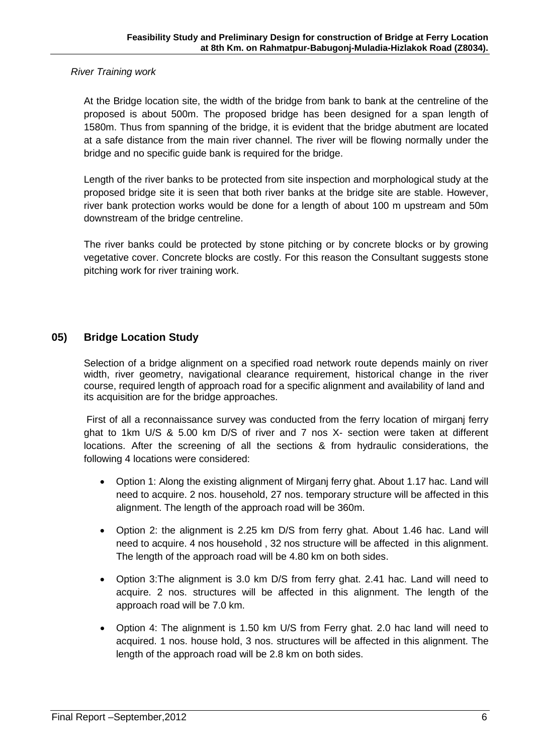*River Training work* 

At the Bridge location site, the width of the bridge from bank to bank at the centreline of the proposed is about 500m. The proposed bridge has been designed for a span length of 1580m. Thus from spanning of the bridge, it is evident that the bridge abutment are located at a safe distance from the main river channel. The river will be flowing normally under the bridge and no specific guide bank is required for the bridge.

Length of the river banks to be protected from site inspection and morphological study at the proposed bridge site it is seen that both river banks at the bridge site are stable. However, river bank protection works would be done for a length of about 100 m upstream and 50m downstream of the bridge centreline.

The river banks could be protected by stone pitching or by concrete blocks or by growing vegetative cover. Concrete blocks are costly. For this reason the Consultant suggests stone pitching work for river training work.

## **05) Bridge Location Study**

 Selection of a bridge alignment on a specified road network route depends mainly on river width, river geometry, navigational clearance requirement, historical change in the river course, required length of approach road for a specific alignment and availability of land and its acquisition are for the bridge approaches.

First of all a reconnaissance survey was conducted from the ferry location of mirganj ferry ghat to 1km U/S & 5.00 km D/S of river and 7 nos X- section were taken at different locations. After the screening of all the sections & from hydraulic considerations, the following 4 locations were considered:

- Option 1: Along the existing alignment of Mirganj ferry ghat. About 1.17 hac. Land will need to acquire. 2 nos. household, 27 nos. temporary structure will be affected in this alignment. The length of the approach road will be 360m.
- Option 2: the alignment is 2.25 km D/S from ferry ghat. About 1.46 hac. Land will need to acquire. 4 nos household , 32 nos structure will be affected in this alignment. The length of the approach road will be 4.80 km on both sides.
- Option 3:The alignment is 3.0 km D/S from ferry ghat. 2.41 hac. Land will need to acquire. 2 nos. structures will be affected in this alignment. The length of the approach road will be 7.0 km.
- Option 4: The alignment is 1.50 km U/S from Ferry ghat. 2.0 hac land will need to acquired. 1 nos. house hold, 3 nos. structures will be affected in this alignment. The length of the approach road will be 2.8 km on both sides.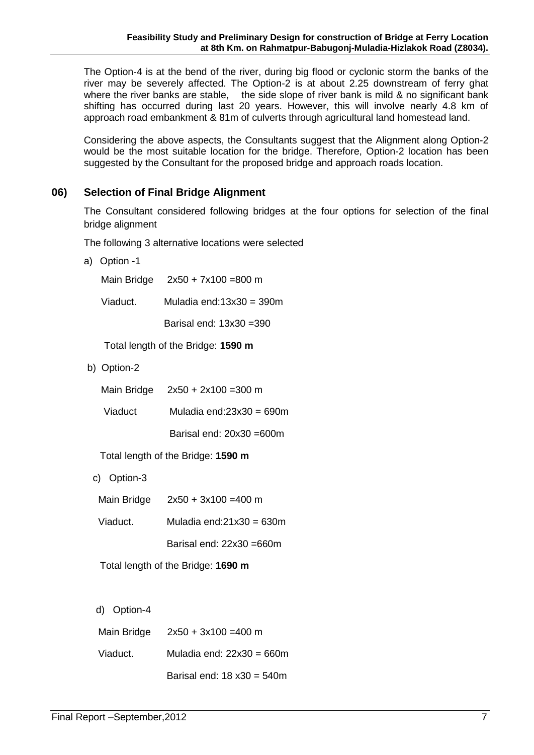The Option-4 is at the bend of the river, during big flood or cyclonic storm the banks of the river may be severely affected. The Option-2 is at about 2.25 downstream of ferry ghat where the river banks are stable, the side slope of river bank is mild & no significant bank shifting has occurred during last 20 years. However, this will involve nearly 4.8 km of approach road embankment & 81m of culverts through agricultural land homestead land.

Considering the above aspects, the Consultants suggest that the Alignment along Option-2 would be the most suitable location for the bridge. Therefore, Option-2 location has been suggested by the Consultant for the proposed bridge and approach roads location.

## **06) Selection of Final Bridge Alignment**

The Consultant considered following bridges at the four options for selection of the final bridge alignment

The following 3 alternative locations were selected

a) Option -1

Main Bridge 2x50 + 7x100 =800 m

Muladia end: $13x30 = 390m$ Viaduct.

Barisal end: 13x30 =390

Total length of the Bridge: **1590 m**

b) Option-2

| Main Bridge | $2x50 + 2x100 = 300$ m |
|-------------|------------------------|
|-------------|------------------------|

| Muladia end: $23x30 = 690m$<br>Viaduct |  |
|----------------------------------------|--|
|----------------------------------------|--|

Barisal end: 20x30 =600m

Total length of the Bridge: **1590 m**

c) Option-3

- Main Bridge 2x50 + 3x100 =400 m
- Viaduct. Muladia end:21x30 = 630m

Barisal end: 22x30 =660m

Total length of the Bridge: **1690 m**

d) Option-4

| Main Bridge | $2x50 + 3x100 = 400$ m              |
|-------------|-------------------------------------|
| Viaduct.    | Muladia end: $22x30 = 660m$         |
|             | Barisal end: $18 \times 30 = 540$ m |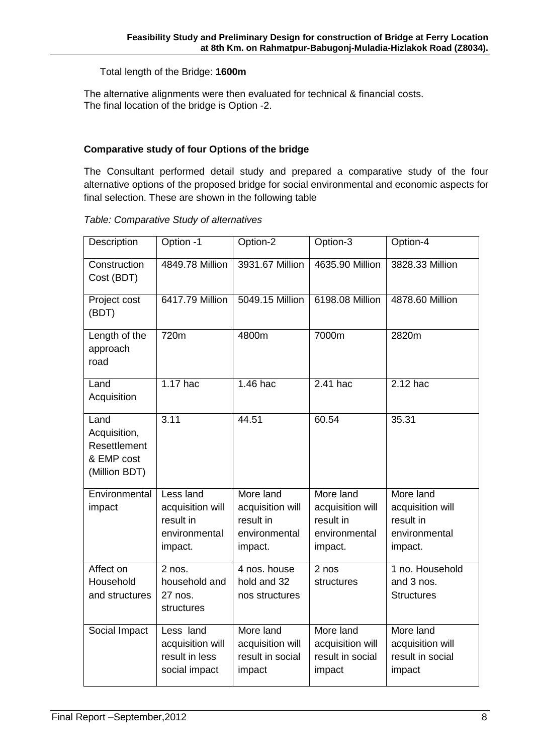#### Total length of the Bridge: **1600m**

The alternative alignments were then evaluated for technical & financial costs. The final location of the bridge is Option -2.

#### **Comparative study of four Options of the bridge**

The Consultant performed detail study and prepared a comparative study of the four alternative options of the proposed bridge for social environmental and economic aspects for final selection. These are shown in the following table

| Description                                                         | Option -1                                                              | Option-2                                                               | Option-3                                                               | Option-4                                                               |
|---------------------------------------------------------------------|------------------------------------------------------------------------|------------------------------------------------------------------------|------------------------------------------------------------------------|------------------------------------------------------------------------|
| Construction<br>Cost (BDT)                                          | 4849.78 Million                                                        | 3931.67 Million                                                        | 4635.90 Million                                                        | 3828.33 Million                                                        |
| Project cost<br>(BDT)                                               | 6417.79 Million                                                        | 5049.15 Million                                                        | 6198.08 Million                                                        | 4878.60 Million                                                        |
| Length of the<br>approach<br>road                                   | 720m                                                                   | 4800m                                                                  | 7000m                                                                  | 2820m                                                                  |
| Land<br>Acquisition                                                 | 1.17 hac                                                               | 1.46 hac                                                               | 2.41 hac                                                               | 2.12 hac                                                               |
| Land<br>Acquisition,<br>Resettlement<br>& EMP cost<br>(Million BDT) | 3.11                                                                   | 44.51                                                                  | 60.54                                                                  | 35.31                                                                  |
| Environmental<br>impact                                             | Less land<br>acquisition will<br>result in<br>environmental<br>impact. | More land<br>acquisition will<br>result in<br>environmental<br>impact. | More land<br>acquisition will<br>result in<br>environmental<br>impact. | More land<br>acquisition will<br>result in<br>environmental<br>impact. |
| Affect on<br>Household<br>and structures                            | $2$ nos.<br>household and<br>27 nos.<br>structures                     | 4 nos. house<br>hold and 32<br>nos structures                          | 2 nos<br>structures                                                    | 1 no. Household<br>and 3 nos.<br><b>Structures</b>                     |
| Social Impact                                                       | Less land<br>acquisition will<br>result in less<br>social impact       | More land<br>acquisition will<br>result in social<br>impact            | More land<br>acquisition will<br>result in social<br>impact            | More land<br>acquisition will<br>result in social<br>impact            |

#### *Table: Comparative Study of alternatives*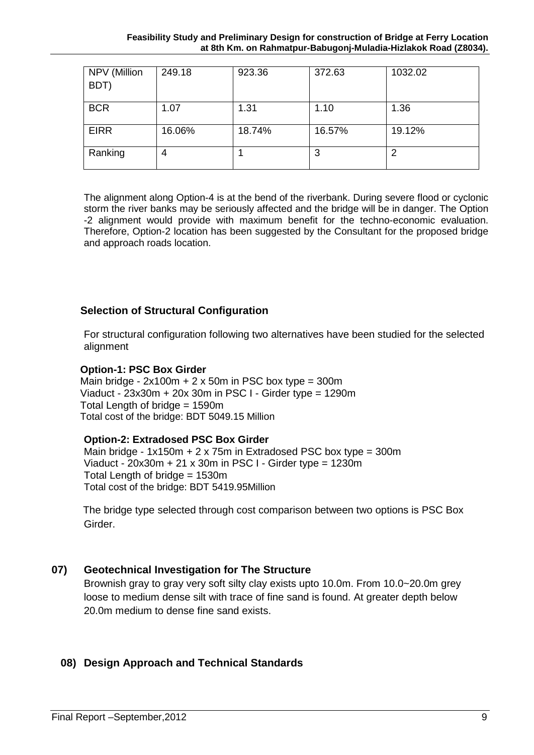| NPV (Million<br>BDT) | 249.18 | 923.36 | 372.63 | 1032.02 |
|----------------------|--------|--------|--------|---------|
| <b>BCR</b>           | 1.07   | 1.31   | 1.10   | 1.36    |
| <b>EIRR</b>          | 16.06% | 18.74% | 16.57% | 19.12%  |
| Ranking              | 4      |        | 3      | 2       |

The alignment along Option-4 is at the bend of the riverbank. During severe flood or cyclonic storm the river banks may be seriously affected and the bridge will be in danger. The Option -2 alignment would provide with maximum benefit for the techno-economic evaluation. Therefore, Option-2 location has been suggested by the Consultant for the proposed bridge and approach roads location.

## **Selection of Structural Configuration**

For structural configuration following two alternatives have been studied for the selected alignment

#### **Option-1: PSC Box Girder**

Main bridge -  $2x100m + 2x50m$  in PSC box type = 300m Viaduct - 23x30m + 20x 30m in PSC I - Girder type = 1290m Total Length of bridge = 1590m Total cost of the bridge: BDT 5049.15 Million

#### **Option-2: Extradosed PSC Box Girder**

 Main bridge - 1x150m + 2 x 75m in Extradosed PSC box type = 300m Viaduct -  $20x30m + 21x30m$  in PSC I - Girder type =  $1230m$ Total Length of bridge = 1530m Total cost of the bridge: BDT 5419.95Million

 The bridge type selected through cost comparison between two options is PSC Box Girder.

#### **07) Geotechnical Investigation for The Structure**

Brownish gray to gray very soft silty clay exists upto 10.0m. From 10.0~20.0m grey loose to medium dense silt with trace of fine sand is found. At greater depth below 20.0m medium to dense fine sand exists.

## **08) Design Approach and Technical Standards**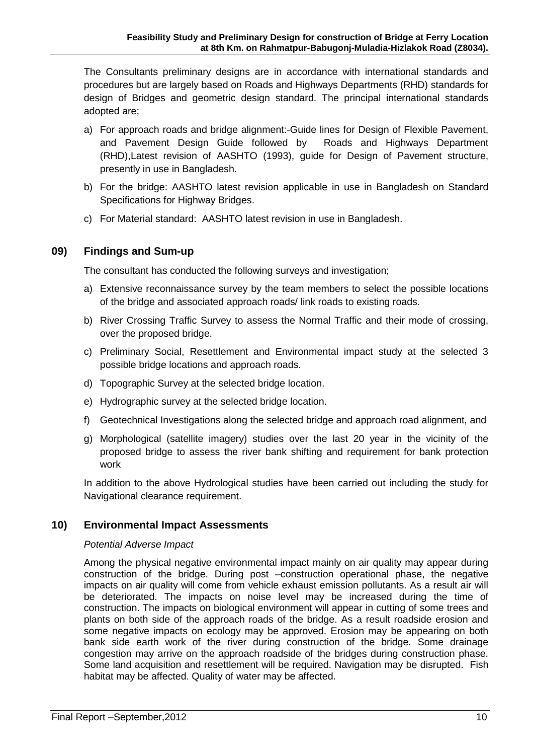The Consultants preliminary designs are in accordance with international standards and procedures but are largely based on Roads and Highways Departments (RHD) standards for design of Bridges and geometric design standard. The principal international standards adopted are;

- a) For approach roads and bridge alignment:-Guide lines for Design of Flexible Pavement, and Pavement Design Guide followed by Roads and Highways Department (RHD),Latest revision of AASHTO (1993), guide for Design of Pavement structure, presently in use in Bangladesh.
- b) For the bridge: AASHTO latest revision applicable in use in Bangladesh on Standard Specifications for Highway Bridges.
- c) For Material standard: AASHTO latest revision in use in Bangladesh.

#### **09) Findings and Sum-up**

The consultant has conducted the following surveys and investigation;

- a) Extensive reconnaissance survey by the team members to select the possible locations of the bridge and associated approach roads/ link roads to existing roads.
- b) River Crossing Traffic Survey to assess the Normal Traffic and their mode of crossing, over the proposed bridge.
- c) Preliminary Social, Resettlement and Environmental impact study at the selected 3 possible bridge locations and approach roads.
- d) Topographic Survey at the selected bridge location.
- e) Hydrographic survey at the selected bridge location.
- f) Geotechnical Investigations along the selected bridge and approach road alignment, and
- g) Morphological (satellite imagery) studies over the last 20 year in the vicinity of the proposed bridge to assess the river bank shifting and requirement for bank protection work

In addition to the above Hydrological studies have been carried out including the study for Navigational clearance requirement.

#### **10) Environmental Impact Assessments**

#### *Potential Adverse Impact*

Among the physical negative environmental impact mainly on air quality may appear during construction of the bridge. During post –construction operational phase, the negative impacts on air quality will come from vehicle exhaust emission pollutants. As a result air will be deteriorated. The impacts on noise level may be increased during the time of construction. The impacts on biological environment will appear in cutting of some trees and plants on both side of the approach roads of the bridge. As a result roadside erosion and some negative impacts on ecology may be approved. Erosion may be appearing on both bank side earth work of the river during construction of the bridge. Some drainage congestion may arrive on the approach roadside of the bridges during construction phase. Some land acquisition and resettlement will be required. Navigation may be disrupted. Fish habitat may be affected. Quality of water may be affected.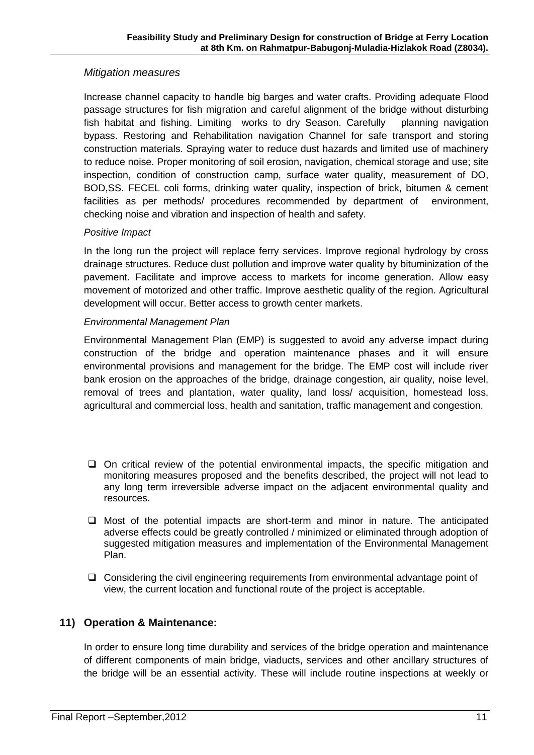## *Mitigation measures*

Increase channel capacity to handle big barges and water crafts. Providing adequate Flood passage structures for fish migration and careful alignment of the bridge without disturbing fish habitat and fishing. Limiting works to dry Season. Carefully planning navigation bypass. Restoring and Rehabilitation navigation Channel for safe transport and storing construction materials. Spraying water to reduce dust hazards and limited use of machinery to reduce noise. Proper monitoring of soil erosion, navigation, chemical storage and use; site inspection, condition of construction camp, surface water quality, measurement of DO, BOD,SS. FECEL coli forms, drinking water quality, inspection of brick, bitumen & cement facilities as per methods/ procedures recommended by department of environment, checking noise and vibration and inspection of health and safety.

#### *Positive Impact*

In the long run the project will replace ferry services. Improve regional hydrology by cross drainage structures. Reduce dust pollution and improve water quality by bituminization of the pavement. Facilitate and improve access to markets for income generation. Allow easy movement of motorized and other traffic. Improve aesthetic quality of the region. Agricultural development will occur. Better access to growth center markets.

#### *Environmental Management Plan*

Environmental Management Plan (EMP) is suggested to avoid any adverse impact during construction of the bridge and operation maintenance phases and it will ensure environmental provisions and management for the bridge. The EMP cost will include river bank erosion on the approaches of the bridge, drainage congestion, air quality, noise level, removal of trees and plantation, water quality, land loss/ acquisition, homestead loss, agricultural and commercial loss, health and sanitation, traffic management and congestion.

- $\Box$  On critical review of the potential environmental impacts, the specific mitigation and monitoring measures proposed and the benefits described, the project will not lead to any long term irreversible adverse impact on the adjacent environmental quality and resources.
- $\Box$  Most of the potential impacts are short-term and minor in nature. The anticipated adverse effects could be greatly controlled / minimized or eliminated through adoption of suggested mitigation measures and implementation of the Environmental Management Plan.
- $\Box$  Considering the civil engineering requirements from environmental advantage point of view, the current location and functional route of the project is acceptable.

#### **11) Operation & Maintenance:**

In order to ensure long time durability and services of the bridge operation and maintenance of different components of main bridge, viaducts, services and other ancillary structures of the bridge will be an essential activity. These will include routine inspections at weekly or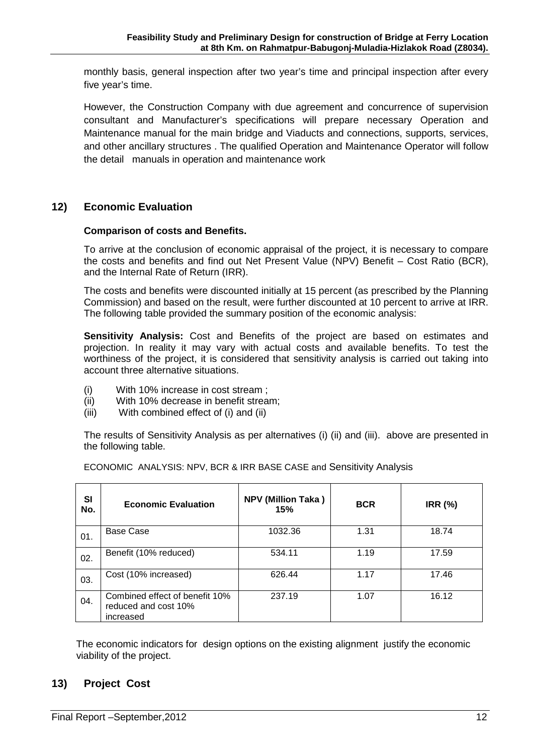monthly basis, general inspection after two year's time and principal inspection after every five year's time.

However, the Construction Company with due agreement and concurrence of supervision consultant and Manufacturer's specifications will prepare necessary Operation and Maintenance manual for the main bridge and Viaducts and connections, supports, services, and other ancillary structures . The qualified Operation and Maintenance Operator will follow the detail manuals in operation and maintenance work

## **12) Economic Evaluation**

#### **Comparison of costs and Benefits.**

To arrive at the conclusion of economic appraisal of the project, it is necessary to compare the costs and benefits and find out Net Present Value (NPV) Benefit – Cost Ratio (BCR), and the Internal Rate of Return (IRR).

The costs and benefits were discounted initially at 15 percent (as prescribed by the Planning Commission) and based on the result, were further discounted at 10 percent to arrive at IRR. The following table provided the summary position of the economic analysis:

**Sensitivity Analysis:** Cost and Benefits of the project are based on estimates and projection. In reality it may vary with actual costs and available benefits. To test the worthiness of the project, it is considered that sensitivity analysis is carried out taking into account three alternative situations.

- (i) With 10% increase in cost stream ;
- (ii) With 10% decrease in benefit stream;
- (iii) With combined effect of (i) and (ii)

The results of Sensitivity Analysis as per alternatives (i) (ii) and (iii). above are presented in the following table.

| SI<br>No. | <b>Economic Evaluation</b>                                          | <b>NPV (Million Taka)</b><br>15% | <b>BCR</b> | <b>IRR (%)</b> |
|-----------|---------------------------------------------------------------------|----------------------------------|------------|----------------|
| 01.       | Base Case                                                           | 1032.36                          | 1.31       | 18.74          |
| 02.       | Benefit (10% reduced)                                               | 534.11                           | 1.19       | 17.59          |
| 03.       | Cost (10% increased)                                                | 626.44                           | 1.17       | 17.46          |
| 04.       | Combined effect of benefit 10%<br>reduced and cost 10%<br>increased | 237.19                           | 1.07       | 16.12          |

ECONOMIC ANALYSIS: NPV, BCR & IRR BASE CASE and Sensitivity Analysis

 The economic indicators for design options on the existing alignment justify the economic viability of the project.

#### **13) Project Cost**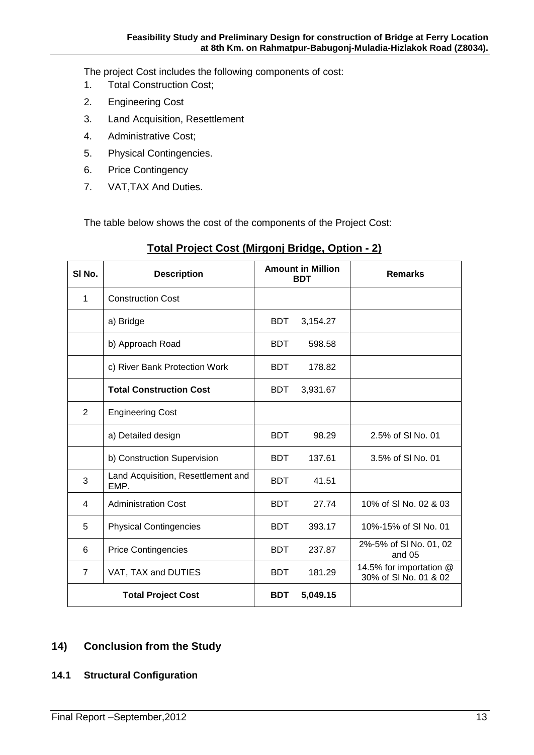The project Cost includes the following components of cost:

- 1. Total Construction Cost;
- 2. Engineering Cost
- 3. Land Acquisition, Resettlement
- 4. Administrative Cost;
- 5. Physical Contingencies.
- 6. Price Contingency
- 7. VAT,TAX And Duties.

The table below shows the cost of the components of the Project Cost:

| SI <sub>No.</sub>         | <b>Description</b>                         | <b>Amount in Million</b><br><b>BDT</b> |          | <b>Remarks</b>                                   |
|---------------------------|--------------------------------------------|----------------------------------------|----------|--------------------------------------------------|
| 1                         | <b>Construction Cost</b>                   |                                        |          |                                                  |
|                           | a) Bridge                                  | <b>BDT</b>                             | 3,154.27 |                                                  |
|                           | b) Approach Road                           | <b>BDT</b>                             | 598.58   |                                                  |
|                           | c) River Bank Protection Work              | <b>BDT</b>                             | 178.82   |                                                  |
|                           | <b>Total Construction Cost</b>             | <b>BDT</b>                             | 3,931.67 |                                                  |
| 2                         | <b>Engineering Cost</b>                    |                                        |          |                                                  |
|                           | a) Detailed design                         | <b>BDT</b>                             | 98.29    | 2.5% of SI No. 01                                |
|                           | b) Construction Supervision                | <b>BDT</b>                             | 137.61   | 3.5% of SI No. 01                                |
| 3                         | Land Acquisition, Resettlement and<br>EMP. | <b>BDT</b>                             | 41.51    |                                                  |
| 4                         | <b>Administration Cost</b>                 | <b>BDT</b>                             | 27.74    | 10% of SI No. 02 & 03                            |
| 5                         | <b>Physical Contingencies</b>              | <b>BDT</b>                             | 393.17   | 10%-15% of SI No. 01                             |
| 6                         | <b>Price Contingencies</b>                 | <b>BDT</b>                             | 237.87   | 2%-5% of SI No. 01, 02<br>and 05                 |
| $\overline{7}$            | VAT, TAX and DUTIES                        | <b>BDT</b>                             | 181.29   | 14.5% for importation @<br>30% of SI No. 01 & 02 |
| <b>Total Project Cost</b> |                                            | <b>BDT</b>                             | 5,049.15 |                                                  |

## **Total Project Cost (Mirgonj Bridge, Option - 2)**

#### **14) Conclusion from the Study**

**14.1 Structural Configuration**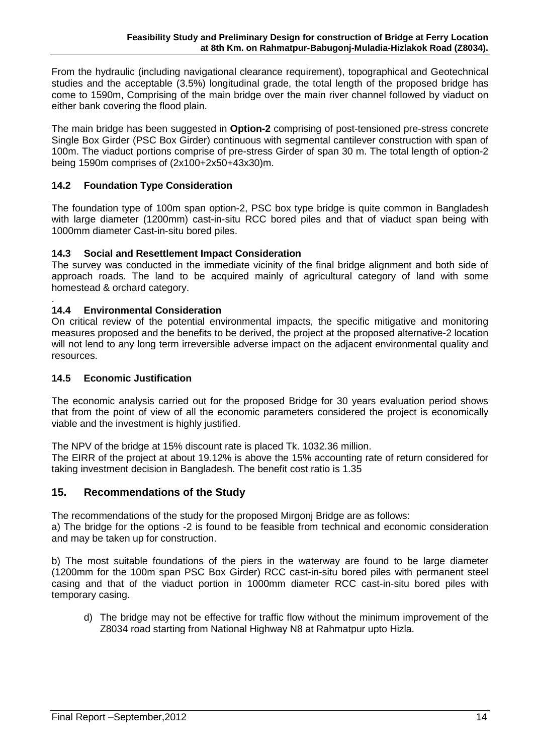From the hydraulic (including navigational clearance requirement), topographical and Geotechnical studies and the acceptable (3.5%) longitudinal grade, the total length of the proposed bridge has come to 1590m, Comprising of the main bridge over the main river channel followed by viaduct on either bank covering the flood plain.

The main bridge has been suggested in **Option-2** comprising of post-tensioned pre-stress concrete Single Box Girder (PSC Box Girder) continuous with segmental cantilever construction with span of 100m. The viaduct portions comprise of pre-stress Girder of span 30 m. The total length of option-2 being 1590m comprises of (2x100+2x50+43x30)m.

#### **14.2 Foundation Type Consideration**

The foundation type of 100m span option-2, PSC box type bridge is quite common in Bangladesh with large diameter (1200mm) cast-in-situ RCC bored piles and that of viaduct span being with 1000mm diameter Cast-in-situ bored piles.

#### **14.3 Social and Resettlement Impact Consideration**

The survey was conducted in the immediate vicinity of the final bridge alignment and both side of approach roads. The land to be acquired mainly of agricultural category of land with some homestead & orchard category.

#### . **14.4 Environmental Consideration**

On critical review of the potential environmental impacts, the specific mitigative and monitoring measures proposed and the benefits to be derived, the project at the proposed alternative-2 location will not lend to any long term irreversible adverse impact on the adjacent environmental quality and resources.

#### **14.5 Economic Justification**

The economic analysis carried out for the proposed Bridge for 30 years evaluation period shows that from the point of view of all the economic parameters considered the project is economically viable and the investment is highly justified.

The NPV of the bridge at 15% discount rate is placed Tk. 1032.36 million.

The EIRR of the project at about 19.12% is above the 15% accounting rate of return considered for taking investment decision in Bangladesh. The benefit cost ratio is 1.35

#### **15. Recommendations of the Study**

The recommendations of the study for the proposed Mirgonj Bridge are as follows:

a) The bridge for the options -2 is found to be feasible from technical and economic consideration and may be taken up for construction.

b) The most suitable foundations of the piers in the waterway are found to be large diameter (1200mm for the 100m span PSC Box Girder) RCC cast-in-situ bored piles with permanent steel casing and that of the viaduct portion in 1000mm diameter RCC cast-in-situ bored piles with temporary casing.

d) The bridge may not be effective for traffic flow without the minimum improvement of the Z8034 road starting from National Highway N8 at Rahmatpur upto Hizla.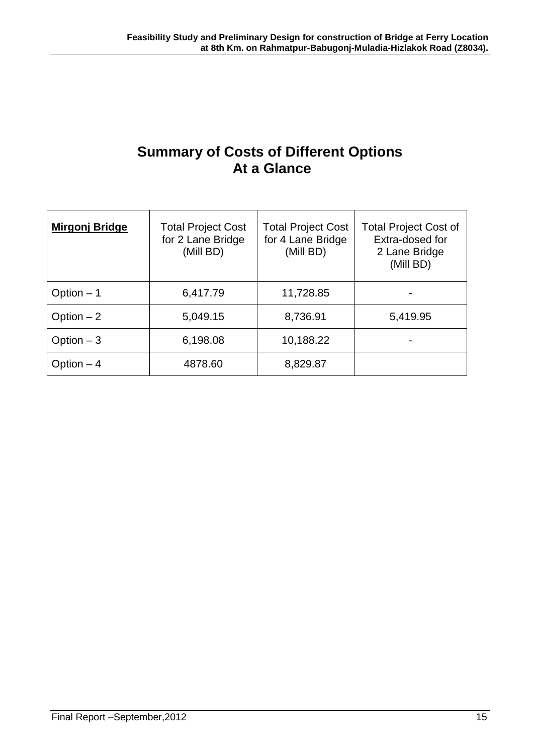# **Summary of Costs of Different Options At a Glance**

| <b>Mirgonj Bridge</b> | <b>Total Project Cost</b><br>for 2 Lane Bridge<br>(Mill BD) | <b>Total Project Cost</b><br>for 4 Lane Bridge<br>(Mill BD) | <b>Total Project Cost of</b><br>Extra-dosed for<br>2 Lane Bridge<br>(Mill BD) |
|-----------------------|-------------------------------------------------------------|-------------------------------------------------------------|-------------------------------------------------------------------------------|
| Option $-1$           | 6,417.79                                                    | 11,728.85                                                   |                                                                               |
| Option $-2$           | 5,049.15                                                    | 8,736.91                                                    | 5,419.95                                                                      |
| Option $-3$           | 6,198.08                                                    | 10,188.22                                                   |                                                                               |
| Option $-4$           | 4878.60                                                     | 8,829.87                                                    |                                                                               |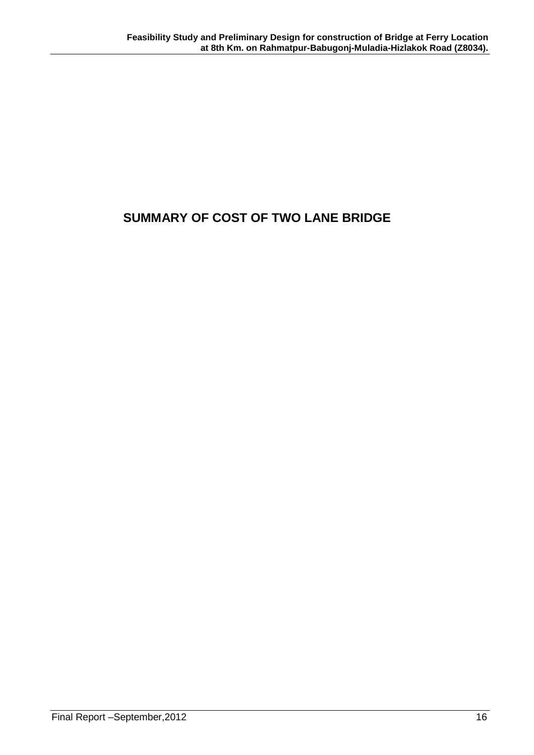# **SUMMARY OF COST OF TWO LANE BRIDGE**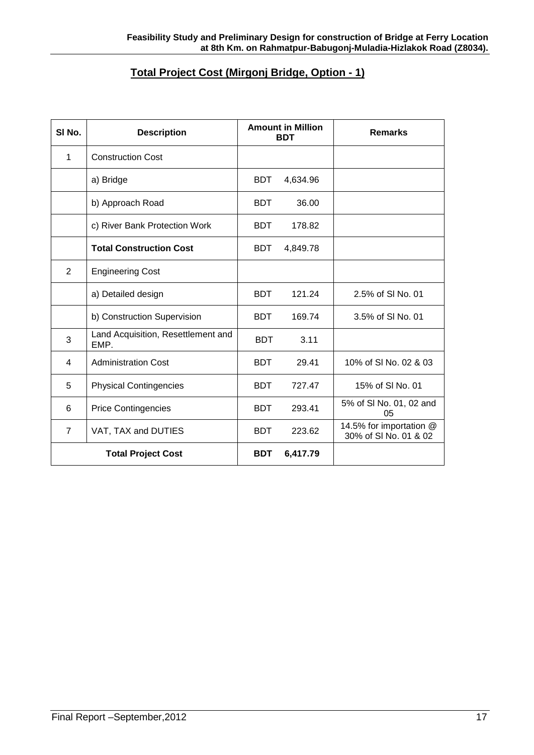## **Total Project Cost (Mirgonj Bridge, Option - 1)**

| SI <sub>No.</sub>         | <b>Description</b>                         | <b>Amount in Million</b><br><b>BDT</b> |          | <b>Remarks</b>                                   |
|---------------------------|--------------------------------------------|----------------------------------------|----------|--------------------------------------------------|
| 1                         | <b>Construction Cost</b>                   |                                        |          |                                                  |
|                           | a) Bridge                                  | <b>BDT</b>                             | 4,634.96 |                                                  |
|                           | b) Approach Road                           | <b>BDT</b>                             | 36.00    |                                                  |
|                           | c) River Bank Protection Work              | <b>BDT</b>                             | 178.82   |                                                  |
|                           | <b>Total Construction Cost</b>             | <b>BDT</b>                             | 4,849.78 |                                                  |
| 2                         | <b>Engineering Cost</b>                    |                                        |          |                                                  |
|                           | a) Detailed design                         | <b>BDT</b>                             | 121.24   | 2.5% of SI No. 01                                |
|                           | b) Construction Supervision                | <b>BDT</b>                             | 169.74   | 3.5% of SI No. 01                                |
| 3                         | Land Acquisition, Resettlement and<br>EMP. | <b>BDT</b>                             | 3.11     |                                                  |
| 4                         | <b>Administration Cost</b>                 | <b>BDT</b>                             | 29.41    | 10% of SI No. 02 & 03                            |
| 5                         | <b>Physical Contingencies</b>              | <b>BDT</b>                             | 727.47   | 15% of SI No. 01                                 |
| 6                         | <b>Price Contingencies</b>                 | <b>BDT</b>                             | 293.41   | 5% of SI No. 01, 02 and<br>05                    |
| $\overline{7}$            | VAT, TAX and DUTIES                        | <b>BDT</b>                             | 223.62   | 14.5% for importation @<br>30% of SI No. 01 & 02 |
| <b>Total Project Cost</b> |                                            | <b>BDT</b>                             | 6,417.79 |                                                  |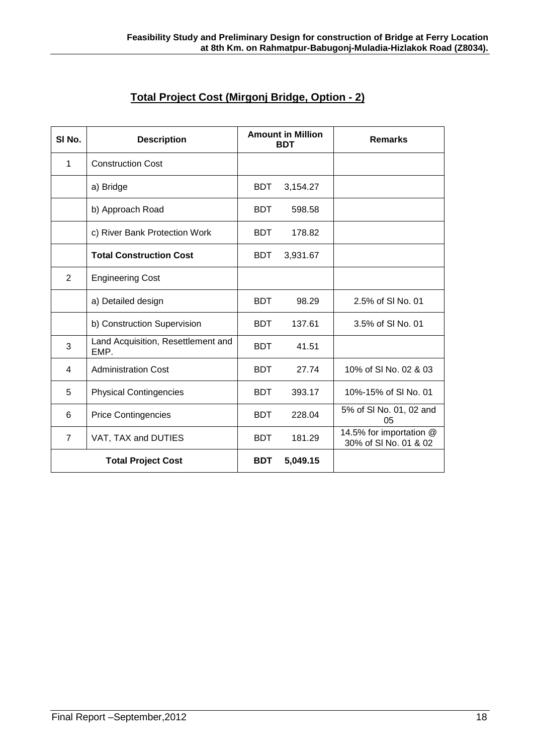| SI <sub>No.</sub>         | <b>Description</b>                         | <b>Amount in Million</b><br><b>BDT</b> |          | <b>Remarks</b>                                   |
|---------------------------|--------------------------------------------|----------------------------------------|----------|--------------------------------------------------|
| 1                         | <b>Construction Cost</b>                   |                                        |          |                                                  |
|                           | a) Bridge                                  | <b>BDT</b>                             | 3,154.27 |                                                  |
|                           | b) Approach Road                           | <b>BDT</b>                             | 598.58   |                                                  |
|                           | c) River Bank Protection Work              | <b>BDT</b>                             | 178.82   |                                                  |
|                           | <b>Total Construction Cost</b>             | <b>BDT</b>                             | 3,931.67 |                                                  |
| $\overline{2}$            | <b>Engineering Cost</b>                    |                                        |          |                                                  |
|                           | a) Detailed design                         | <b>BDT</b>                             | 98.29    | 2.5% of SI No. 01                                |
|                           | b) Construction Supervision                | <b>BDT</b>                             | 137.61   | 3.5% of SI No. 01                                |
| 3                         | Land Acquisition, Resettlement and<br>EMP. | <b>BDT</b>                             | 41.51    |                                                  |
| 4                         | <b>Administration Cost</b>                 | <b>BDT</b>                             | 27.74    | 10% of SI No. 02 & 03                            |
| 5                         | <b>Physical Contingencies</b>              | <b>BDT</b>                             | 393.17   | 10%-15% of SI No. 01                             |
| 6                         | <b>Price Contingencies</b>                 | <b>BDT</b>                             | 228.04   | 5% of SI No. 01, 02 and<br>05                    |
| $\overline{7}$            | VAT, TAX and DUTIES                        | <b>BDT</b>                             | 181.29   | 14.5% for importation @<br>30% of SI No. 01 & 02 |
| <b>Total Project Cost</b> |                                            | <b>BDT</b>                             | 5,049.15 |                                                  |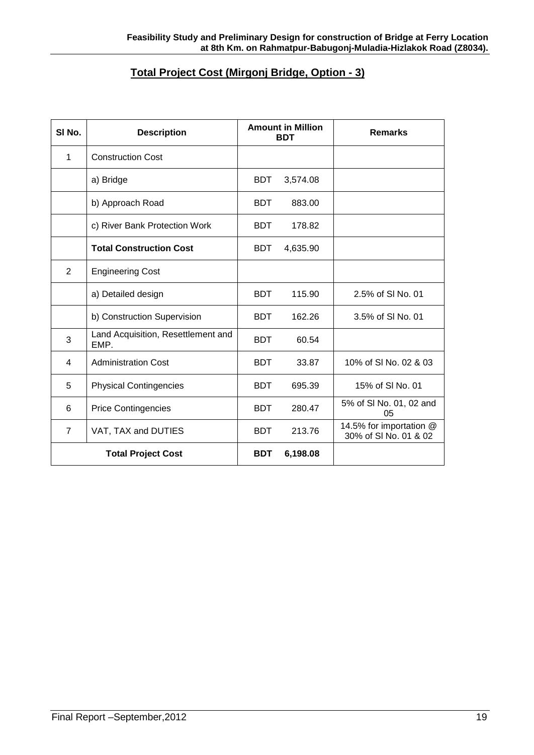## **Total Project Cost (Mirgonj Bridge, Option - 3)**

| SI <sub>No.</sub>         | <b>Description</b>                         | <b>Amount in Million</b><br><b>BDT</b> |          | <b>Remarks</b>                                   |
|---------------------------|--------------------------------------------|----------------------------------------|----------|--------------------------------------------------|
| 1                         | <b>Construction Cost</b>                   |                                        |          |                                                  |
|                           | a) Bridge                                  | <b>BDT</b>                             | 3,574.08 |                                                  |
|                           | b) Approach Road                           | <b>BDT</b>                             | 883.00   |                                                  |
|                           | c) River Bank Protection Work              | <b>BDT</b>                             | 178.82   |                                                  |
|                           | <b>Total Construction Cost</b>             | <b>BDT</b>                             | 4,635.90 |                                                  |
| $\overline{2}$            | <b>Engineering Cost</b>                    |                                        |          |                                                  |
|                           | a) Detailed design                         | <b>BDT</b>                             | 115.90   | 2.5% of SI No. 01                                |
|                           | b) Construction Supervision                | <b>BDT</b>                             | 162.26   | 3.5% of SI No. 01                                |
| 3                         | Land Acquisition, Resettlement and<br>EMP. | <b>BDT</b>                             | 60.54    |                                                  |
| 4                         | <b>Administration Cost</b>                 | <b>BDT</b>                             | 33.87    | 10% of SI No. 02 & 03                            |
| 5                         | <b>Physical Contingencies</b>              | <b>BDT</b>                             | 695.39   | 15% of SI No. 01                                 |
| 6                         | <b>Price Contingencies</b>                 | <b>BDT</b>                             | 280.47   | 5% of SI No. 01, 02 and<br>05                    |
| 7                         | VAT, TAX and DUTIES                        | <b>BDT</b>                             | 213.76   | 14.5% for importation @<br>30% of SI No. 01 & 02 |
| <b>Total Project Cost</b> |                                            | <b>BDT</b>                             | 6,198.08 |                                                  |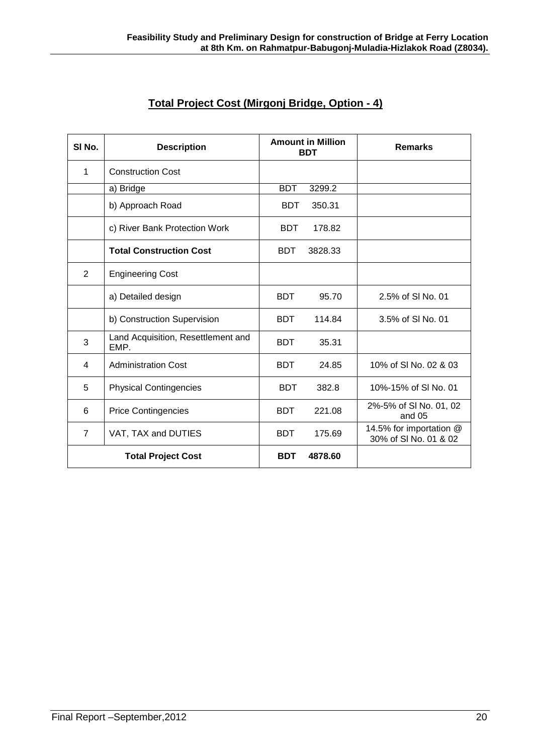| Total Project Cost (Mirgonj Bridge, Option - 4) |
|-------------------------------------------------|
|-------------------------------------------------|

| SI No.                    | <b>Description</b>                         | <b>Amount in Million</b><br><b>BDT</b> |         | <b>Remarks</b>                                   |
|---------------------------|--------------------------------------------|----------------------------------------|---------|--------------------------------------------------|
| 1                         | <b>Construction Cost</b>                   |                                        |         |                                                  |
|                           | a) Bridge                                  | <b>BDT</b>                             | 3299.2  |                                                  |
|                           | b) Approach Road                           | <b>BDT</b>                             | 350.31  |                                                  |
|                           | c) River Bank Protection Work              | <b>BDT</b>                             | 178.82  |                                                  |
|                           | <b>Total Construction Cost</b>             | <b>BDT</b>                             | 3828.33 |                                                  |
| $\overline{2}$            | <b>Engineering Cost</b>                    |                                        |         |                                                  |
|                           | a) Detailed design                         | <b>BDT</b>                             | 95.70   | 2.5% of SI No. 01                                |
|                           | b) Construction Supervision                | <b>BDT</b>                             | 114.84  | 3.5% of SI No. 01                                |
| 3                         | Land Acquisition, Resettlement and<br>EMP. | <b>BDT</b>                             | 35.31   |                                                  |
| 4                         | <b>Administration Cost</b>                 | <b>BDT</b>                             | 24.85   | 10% of SI No. 02 & 03                            |
| 5                         | <b>Physical Contingencies</b>              | <b>BDT</b>                             | 382.8   | 10%-15% of SI No. 01                             |
| 6                         | <b>Price Contingencies</b>                 | <b>BDT</b>                             | 221.08  | 2%-5% of SI No. 01, 02<br>and 05                 |
| $\overline{7}$            | VAT, TAX and DUTIES                        | <b>BDT</b>                             | 175.69  | 14.5% for importation @<br>30% of SI No. 01 & 02 |
| <b>Total Project Cost</b> |                                            | <b>BDT</b>                             | 4878.60 |                                                  |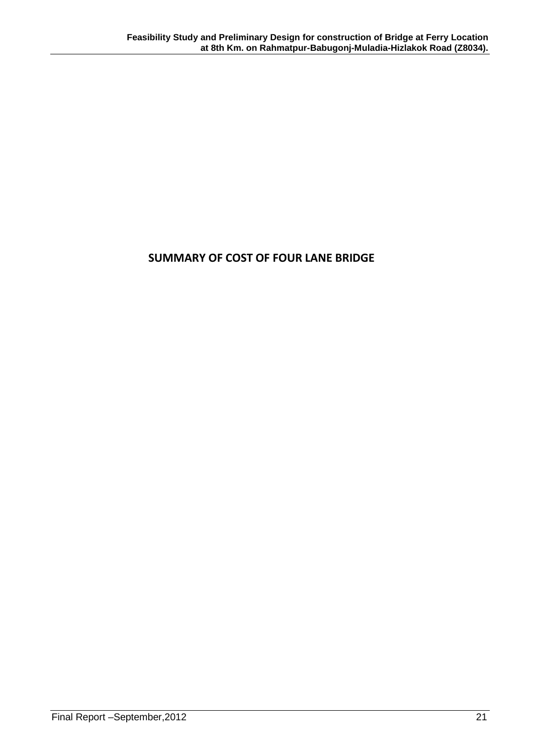## **SUMMARY OF COST OF FOUR LANE BRIDGE**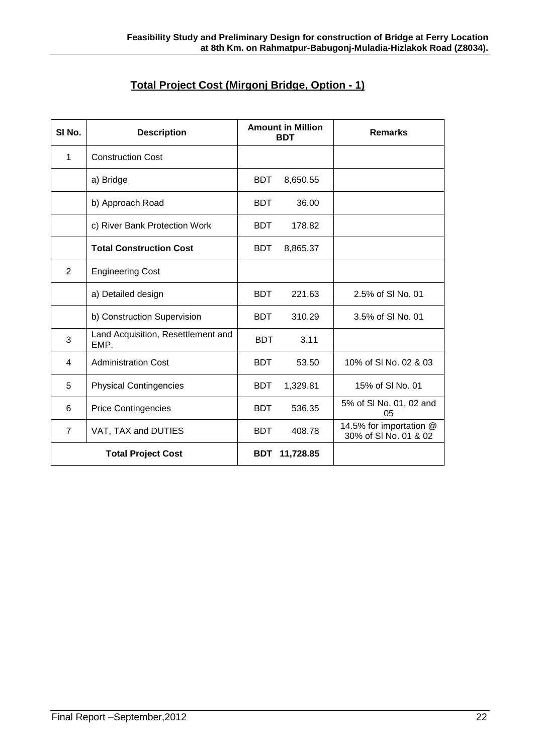## **Total Project Cost (Mirgonj Bridge, Option - 1)**

| SI No.                    | <b>Description</b>                         | <b>Amount in Million</b><br><b>BDT</b> |           | <b>Remarks</b>                                   |
|---------------------------|--------------------------------------------|----------------------------------------|-----------|--------------------------------------------------|
| 1                         | <b>Construction Cost</b>                   |                                        |           |                                                  |
|                           | a) Bridge                                  | <b>BDT</b>                             | 8,650.55  |                                                  |
|                           | b) Approach Road                           | <b>BDT</b>                             | 36.00     |                                                  |
|                           | c) River Bank Protection Work              | <b>BDT</b>                             | 178.82    |                                                  |
|                           | <b>Total Construction Cost</b>             | <b>BDT</b>                             | 8,865.37  |                                                  |
| 2                         | <b>Engineering Cost</b>                    |                                        |           |                                                  |
|                           | a) Detailed design                         | <b>BDT</b>                             | 221.63    | 2.5% of SI No. 01                                |
|                           | b) Construction Supervision                | <b>BDT</b>                             | 310.29    | 3.5% of SI No. 01                                |
| 3                         | Land Acquisition, Resettlement and<br>EMP. | <b>BDT</b>                             | 3.11      |                                                  |
| 4                         | <b>Administration Cost</b>                 | <b>BDT</b>                             | 53.50     | 10% of SI No. 02 & 03                            |
| 5                         | <b>Physical Contingencies</b>              | <b>BDT</b>                             | 1,329.81  | 15% of SI No. 01                                 |
| 6                         | <b>Price Contingencies</b>                 | <b>BDT</b>                             | 536.35    | 5% of SI No. 01, 02 and<br>05                    |
| $\overline{7}$            | VAT, TAX and DUTIES                        | <b>BDT</b>                             | 408.78    | 14.5% for importation @<br>30% of SI No. 01 & 02 |
| <b>Total Project Cost</b> |                                            | <b>BDT</b>                             | 11,728.85 |                                                  |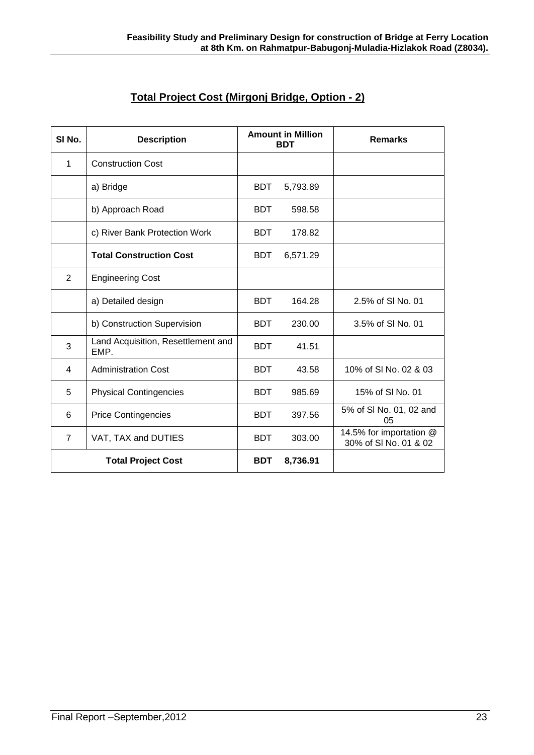| Total Project Cost (Mirgonj Bridge, Option - 2) |
|-------------------------------------------------|
|-------------------------------------------------|

| SI No.                    | <b>Description</b>                         | <b>Amount in Million</b><br><b>BDT</b> |          | <b>Remarks</b>                                   |
|---------------------------|--------------------------------------------|----------------------------------------|----------|--------------------------------------------------|
| $\mathbf{1}$              | <b>Construction Cost</b>                   |                                        |          |                                                  |
|                           | a) Bridge                                  | <b>BDT</b>                             | 5,793.89 |                                                  |
|                           | b) Approach Road                           | <b>BDT</b>                             | 598.58   |                                                  |
|                           | c) River Bank Protection Work              | <b>BDT</b>                             | 178.82   |                                                  |
|                           | <b>Total Construction Cost</b>             | <b>BDT</b>                             | 6,571.29 |                                                  |
| $\overline{2}$            | <b>Engineering Cost</b>                    |                                        |          |                                                  |
|                           | a) Detailed design                         | <b>BDT</b>                             | 164.28   | 2.5% of SI No. 01                                |
|                           | b) Construction Supervision                | <b>BDT</b>                             | 230.00   | 3.5% of SI No. 01                                |
| 3                         | Land Acquisition, Resettlement and<br>EMP. | <b>BDT</b>                             | 41.51    |                                                  |
| 4                         | <b>Administration Cost</b>                 | <b>BDT</b>                             | 43.58    | 10% of SI No. 02 & 03                            |
| 5                         | <b>Physical Contingencies</b>              | <b>BDT</b>                             | 985.69   | 15% of SI No. 01                                 |
| 6                         | <b>Price Contingencies</b>                 | <b>BDT</b>                             | 397.56   | 5% of SI No. 01, 02 and<br>05                    |
| $\overline{7}$            | VAT, TAX and DUTIES                        | <b>BDT</b>                             | 303.00   | 14.5% for importation @<br>30% of SI No. 01 & 02 |
| <b>Total Project Cost</b> |                                            | <b>BDT</b>                             | 8,736.91 |                                                  |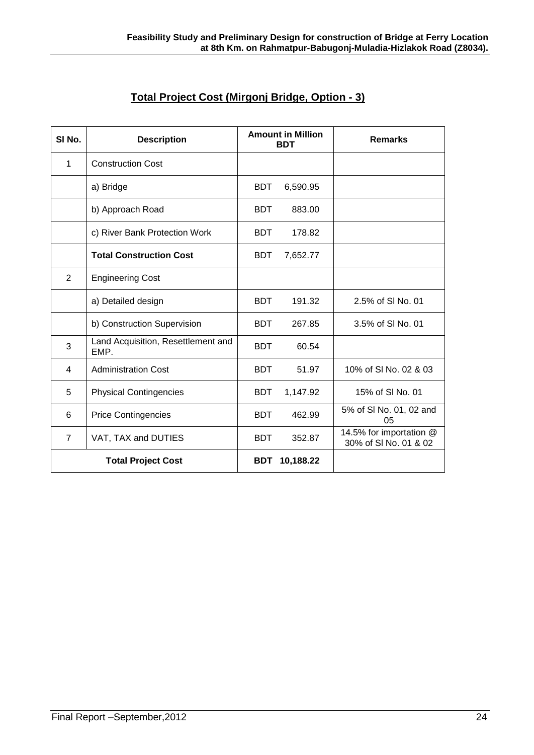| Total Project Cost (Mirgonj Bridge, Option - 3) |
|-------------------------------------------------|
|-------------------------------------------------|

| SI No.                    | <b>Description</b>                         | <b>Amount in Million</b><br><b>BDT</b> |           | <b>Remarks</b>                                   |
|---------------------------|--------------------------------------------|----------------------------------------|-----------|--------------------------------------------------|
| 1                         | <b>Construction Cost</b>                   |                                        |           |                                                  |
|                           | a) Bridge                                  | <b>BDT</b>                             | 6,590.95  |                                                  |
|                           | b) Approach Road                           | <b>BDT</b>                             | 883.00    |                                                  |
|                           | c) River Bank Protection Work              | <b>BDT</b>                             | 178.82    |                                                  |
|                           | <b>Total Construction Cost</b>             | <b>BDT</b>                             | 7,652.77  |                                                  |
| $\overline{2}$            | <b>Engineering Cost</b>                    |                                        |           |                                                  |
|                           | a) Detailed design                         | <b>BDT</b>                             | 191.32    | 2.5% of SI No. 01                                |
|                           | b) Construction Supervision                | <b>BDT</b>                             | 267.85    | 3.5% of SI No. 01                                |
| 3                         | Land Acquisition, Resettlement and<br>EMP. | <b>BDT</b>                             | 60.54     |                                                  |
| 4                         | <b>Administration Cost</b>                 | <b>BDT</b>                             | 51.97     | 10% of SI No. 02 & 03                            |
| 5                         | <b>Physical Contingencies</b>              | <b>BDT</b>                             | 1,147.92  | 15% of SI No. 01                                 |
| 6                         | <b>Price Contingencies</b>                 | <b>BDT</b>                             | 462.99    | 5% of SI No. 01, 02 and<br>05                    |
| $\overline{7}$            | VAT, TAX and DUTIES                        | <b>BDT</b>                             | 352.87    | 14.5% for importation @<br>30% of SI No. 01 & 02 |
| <b>Total Project Cost</b> |                                            | <b>BDT</b>                             | 10,188.22 |                                                  |